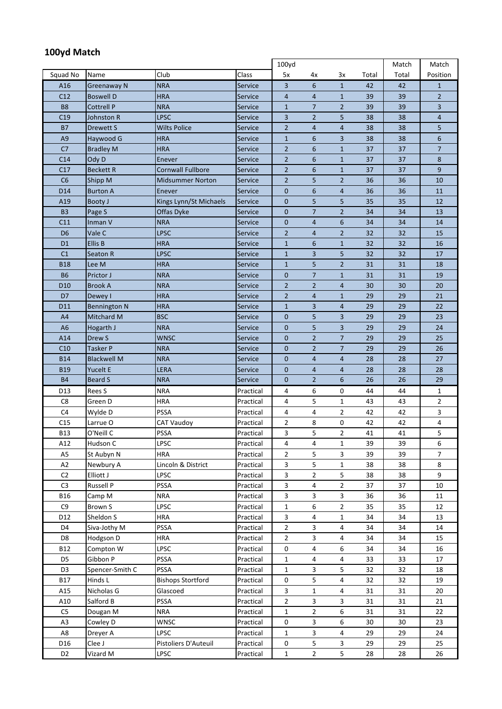## **100yd Match**

|                 |                     |                          |                | 100yd          |                |                |       | Match | Match          |
|-----------------|---------------------|--------------------------|----------------|----------------|----------------|----------------|-------|-------|----------------|
| Squad No        | Name                | Club                     | Class          | 5x             | 4x             | 3x             | Total | Total | Position       |
| A16             | <b>Greenaway N</b>  | <b>NRA</b>               | Service        | 3              | 6              | $\mathbf{1}$   | 42    | 42    | $\mathbf{1}$   |
| C12             | <b>Boswell D</b>    | <b>HRA</b>               | Service        | 4              | $\overline{4}$ | $\mathbf{1}$   | 39    | 39    | $\overline{2}$ |
| <b>B8</b>       | <b>Cottrell P</b>   | <b>NRA</b>               | Service        | $\mathbf{1}$   | $\overline{7}$ | $\overline{2}$ | 39    | 39    | 3              |
| C19             | Johnston R          | <b>LPSC</b>              | Service        | 3              | $\overline{2}$ | 5              | 38    | 38    | $\overline{4}$ |
| <b>B7</b>       | Drewett S           | <b>Wilts Police</b>      | <b>Service</b> | $\overline{2}$ | $\overline{4}$ | 4              | 38    | 38    | 5              |
| A <sub>9</sub>  | Haywood G           | <b>HRA</b>               | <b>Service</b> | $\mathbf{1}$   | 6              | 3              | 38    | 38    | 6              |
| C <sub>7</sub>  | <b>Bradley M</b>    | <b>HRA</b>               | Service        | $\overline{2}$ | 6              | 1              | 37    | 37    | $\overline{7}$ |
| C <sub>14</sub> | Ody D               | Enever                   | <b>Service</b> | $\overline{2}$ | 6              | $\mathbf{1}$   | 37    | 37    | 8              |
| C17             | <b>Beckett R</b>    | <b>Cornwall Fullbore</b> | Service        | $\overline{2}$ | 6              | $\mathbf{1}$   | 37    | 37    | 9              |
| C6              | Shipp M             | <b>Midsummer Norton</b>  | Service        | $\overline{2}$ | 5              | 2              | 36    | 36    | 10             |
| D14             | <b>Burton A</b>     | Enever                   | Service        | 0              | 6              | 4              | 36    | 36    | 11             |
| A19             | Booty J             | Kings Lynn/St Michaels   | Service        | 0              | 5              | 5              | 35    | 35    | 12             |
| B <sub>3</sub>  | Page S              | Offas Dyke               | Service        | 0              | $\overline{7}$ | $\overline{2}$ | 34    | 34    | 13             |
| C11             | Inman V             | <b>NRA</b>               | Service        | 0              | $\overline{4}$ | 6              | 34    | 34    | 14             |
| D <sub>6</sub>  | Vale C              | LPSC                     | Service        | 2              | 4              | 2              | 32    | 32    | 15             |
| D <sub>1</sub>  | <b>Ellis B</b>      | <b>HRA</b>               | Service        | $\mathbf{1}$   | 6              | $\mathbf{1}$   | 32    | 32    | 16             |
| C <sub>1</sub>  | Seaton R            | LPSC                     | Service        | $\mathbf{1}$   | 3              | 5              | 32    | 32    | 17             |
| <b>B18</b>      | Lee M               | <b>HRA</b>               | Service        | $\mathbf{1}$   | 5              | 2              | 31    | 31    | 18             |
| <b>B6</b>       | Prictor J           | <b>NRA</b>               | Service        | 0              | $\overline{7}$ | $\mathbf 1$    | 31    | 31    | 19             |
| D <sub>10</sub> | <b>Brook A</b>      | <b>NRA</b>               | Service        | $\overline{2}$ | $\overline{2}$ | 4              | 30    | 30    | 20             |
| D7              | Dewey I             | <b>HRA</b>               | Service        | $\overline{2}$ | $\overline{4}$ | $\mathbf{1}$   | 29    | 29    | 21             |
| D11             | <b>Bennington N</b> | <b>HRA</b>               | Service        | $\mathbf{1}$   | 3              | $\overline{4}$ | 29    | 29    | 22             |
| A4              | Mitchard M          | <b>BSC</b>               | Service        | $\mathbf 0$    | 5              | 3              | 29    | 29    | 23             |
| A <sub>6</sub>  | Hogarth J           | <b>NRA</b>               | <b>Service</b> | 0              | 5              | 3              | 29    | 29    | 24             |
| A14             | Drew S              | <b>WNSC</b>              | Service        | 0              | $\overline{2}$ | 7              | 29    | 29    | 25             |
| C10             | Tasker P            | <b>NRA</b>               | Service        | 0              | $\overline{2}$ | 7              | 29    | 29    | 26             |
| <b>B14</b>      | <b>Blackwell M</b>  | <b>NRA</b>               | Service        | 0              | $\overline{4}$ | 4              | 28    | 28    | 27             |
| <b>B19</b>      | Yucelt E            | LERA                     | Service        | 0              | $\overline{4}$ | $\overline{4}$ | 28    | 28    | 28             |
| <b>B4</b>       | <b>Beard S</b>      | <b>NRA</b>               | Service        | $\mathbf 0$    | $\overline{2}$ | 6              | 26    | 26    | 29             |
| D13             | Rees S              | <b>NRA</b>               | Practical      | 4              | 6              | 0              | 44    | 44    | 1              |
| C8              | Green D             | <b>HRA</b>               | Practical      | 4              | 5              | 1              | 43    | 43    | $\overline{2}$ |
| C4              | Wylde D             | <b>PSSA</b>              | Practical      | 4              | 4              | 2              | 42    | 42    | 3              |
| C15             | Larrue O            | <b>CAT Vaudoy</b>        | Practical      | 2              | 8              | 0              | 42    | 42    | 4              |
| <b>B13</b>      | O'Neill C           | PSSA                     | Practical      | 3              | 5              | $\overline{2}$ | 41    | 41    | 5              |
| A12             | Hudson C            | LPSC                     | Practical      | 4              | 4              | $\mathbf{1}$   | 39    | 39    | 6              |
| A <sub>5</sub>  | St Aubyn N          | HRA                      | Practical      | 2              | 5              | 3              | 39    | 39    | 7              |
| A2              | Newbury A           | Lincoln & District       | Practical      | 3              | 5              | $\mathbf{1}$   | 38    | 38    | 8              |
| C <sub>2</sub>  | Elliott J           | LPSC                     | Practical      | 3              | $\mathbf{2}$   | 5              | 38    | 38    | 9              |
| C <sub>3</sub>  | Russell P           | PSSA                     | Practical      | 3              | 4              | 2              | 37    | 37    | 10             |
| <b>B16</b>      | Camp M              | <b>NRA</b>               | Practical      | 3              | 3              | 3              | 36    | 36    | 11             |
| C9              | Brown S             | LPSC                     | Practical      | $\mathbf{1}$   | 6              | 2              | 35    | 35    | 12             |
| D12             | Sheldon S           | <b>HRA</b>               | Practical      | 3              | 4              | 1              | 34    | 34    | 13             |
| D4              | Siva-Jothy M        | <b>PSSA</b>              | Practical      | 2              | 3              | 4              | 34    | 34    | 14             |
| D <sub>8</sub>  | Hodgson D           | <b>HRA</b>               | Practical      | $\mathbf{2}$   | 3              | 4              | 34    | 34    | 15             |
| <b>B12</b>      | Compton W           | LPSC                     | Practical      | 0              | 4              | 6              | 34    | 34    | 16             |
| D5              | Gibbon P            | PSSA                     | Practical      | 1              | 4              | 4              | 33    | 33    | 17             |
| D <sub>3</sub>  | Spencer-Smith C     | PSSA                     | Practical      | $\mathbf{1}$   | 3              | 5              | 32    | 32    | 18             |
| <b>B17</b>      | Hinds L             | <b>Bishops Stortford</b> | Practical      | 0              | 5              | 4              | 32    | 32    | 19             |
| A15             | Nicholas G          | Glascoed                 | Practical      | 3              | $\mathbf{1}$   | 4              | 31    | 31    | 20             |
| A10             | Salford B           | PSSA                     | Practical      | $\overline{2}$ | 3              | 3              | 31    | 31    | 21             |
| C <sub>5</sub>  | Dougan M            | <b>NRA</b>               | Practical      | 1              | $\overline{2}$ | 6              | 31    | 31    | 22             |
| A <sub>3</sub>  | Cowley D            | <b>WNSC</b>              | Practical      | 0              | 3              | 6              | 30    | 30    | 23             |
| A8              | Dreyer A            | LPSC                     | Practical      | 1              | 3              | 4              | 29    | 29    | 24             |
| D16             | Clee J              | Pistoliers D'Auteuil     | Practical      | 0              | 5              | 3              | 29    | 29    | 25             |
| D <sub>2</sub>  | Vizard M            | LPSC                     | Practical      | $\mathbf{1}$   | $\mathbf{2}$   | 5              | 28    | 28    | 26             |